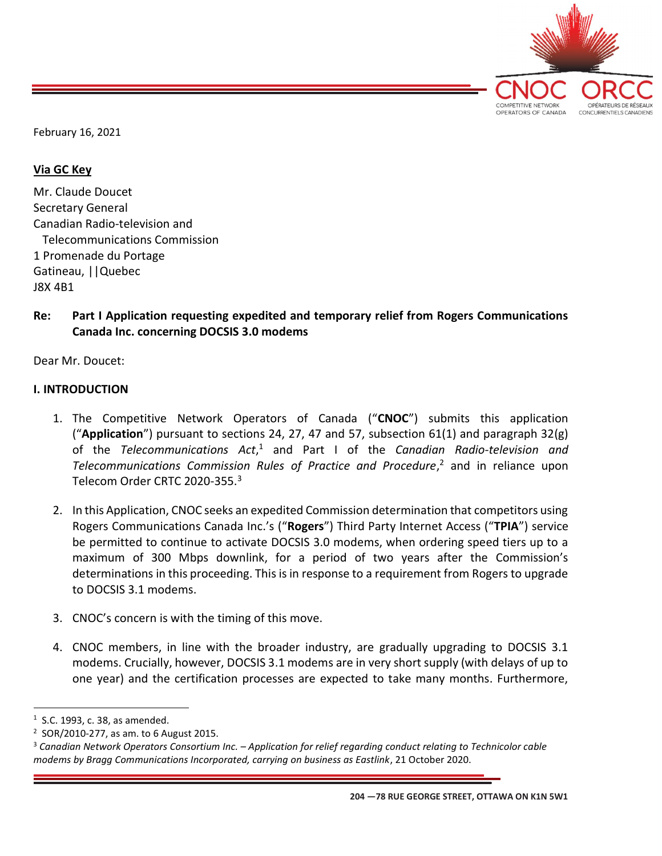

February 16, 2021

### Via GC Key

Mr. Claude Doucet Secretary General Canadian Radio-television and Telecommunications Commission 1 Promenade du Portage Gatineau, ||Quebec J8X 4B1

## Re: Part I Application requesting expedited and temporary relief from Rogers Communications Canada Inc. concerning DOCSIS 3.0 modems

Dear Mr. Doucet:

#### I. INTRODUCTION

- 1. The Competitive Network Operators of Canada ("CNOC") submits this application ("Application") pursuant to sections 24, 27, 47 and 57, subsection  $61(1)$  and paragraph  $32(g)$ of the Telecommunications  $Act$ ,<sup>1</sup> and Part I of the Canadian Radio-television and Telecommunications Commission Rules of Practice and Procedure, $<sup>2</sup>$  and in reliance upon</sup> Telecom Order CRTC 2020-355.<sup>3</sup>
- 2. In this Application, CNOC seeks an expedited Commission determination that competitors using Rogers Communications Canada Inc.'s ("Rogers") Third Party Internet Access ("TPIA") service be permitted to continue to activate DOCSIS 3.0 modems, when ordering speed tiers up to a maximum of 300 Mbps downlink, for a period of two years after the Commission's determinations in this proceeding. This is in response to a requirement from Rogers to upgrade to DOCSIS 3.1 modems.
- 3. CNOC's concern is with the timing of this move.
- 4. CNOC members, in line with the broader industry, are gradually upgrading to DOCSIS 3.1 modems. Crucially, however, DOCSIS 3.1 modems are in very short supply (with delays of up to one year) and the certification processes are expected to take many months. Furthermore,

 $<sup>1</sup>$  S.C. 1993, c. 38, as amended.</sup>

<sup>&</sup>lt;sup>2</sup> SOR/2010-277, as am. to 6 August 2015.

<sup>3</sup> Canadian Network Operators Consortium Inc. – Application for relief regarding conduct relating to Technicolor cable modems by Bragg Communications Incorporated, carrying on business as Eastlink, 21 October 2020.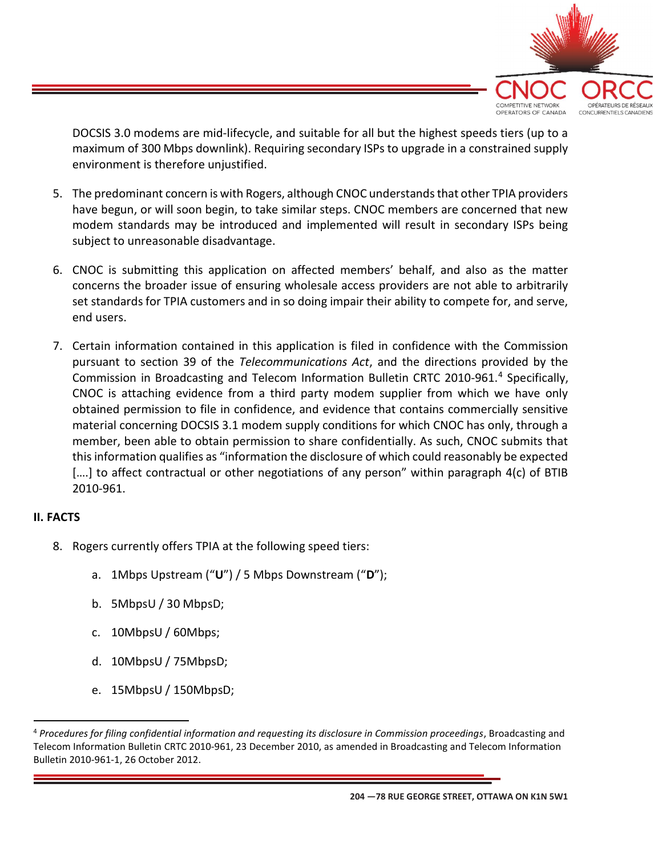

DOCSIS 3.0 modems are mid-lifecycle, and suitable for all but the highest speeds tiers (up to a maximum of 300 Mbps downlink). Requiring secondary ISPs to upgrade in a constrained supply environment is therefore unjustified.

- 5. The predominant concern is with Rogers, although CNOC understands that other TPIA providers have begun, or will soon begin, to take similar steps. CNOC members are concerned that new modem standards may be introduced and implemented will result in secondary ISPs being subject to unreasonable disadvantage.
- 6. CNOC is submitting this application on affected members' behalf, and also as the matter concerns the broader issue of ensuring wholesale access providers are not able to arbitrarily set standards for TPIA customers and in so doing impair their ability to compete for, and serve, end users.
- 7. Certain information contained in this application is filed in confidence with the Commission pursuant to section 39 of the Telecommunications Act, and the directions provided by the Commission in Broadcasting and Telecom Information Bulletin CRTC 2010-961.<sup>4</sup> Specifically, CNOC is attaching evidence from a third party modem supplier from which we have only obtained permission to file in confidence, and evidence that contains commercially sensitive material concerning DOCSIS 3.1 modem supply conditions for which CNOC has only, through a member, been able to obtain permission to share confidentially. As such, CNOC submits that this information qualifies as "information the disclosure of which could reasonably be expected [....] to affect contractual or other negotiations of any person" within paragraph 4(c) of BTIB 2010-961.

# II. FACTS

- 8. Rogers currently offers TPIA at the following speed tiers:
	- a. 1Mbps Upstream ("U") / 5 Mbps Downstream ("D");
	- b. 5MbpsU / 30 MbpsD;
	- c. 10MbpsU / 60Mbps;
	- d. 10MbpsU / 75MbpsD;
	- e. 15MbpsU / 150MbpsD;

<sup>&</sup>lt;sup>4</sup> Procedures for filing confidential information and requesting its disclosure in Commission proceedings, Broadcasting and Telecom Information Bulletin CRTC 2010-961, 23 December 2010, as amended in Broadcasting and Telecom Information Bulletin 2010-961-1, 26 October 2012.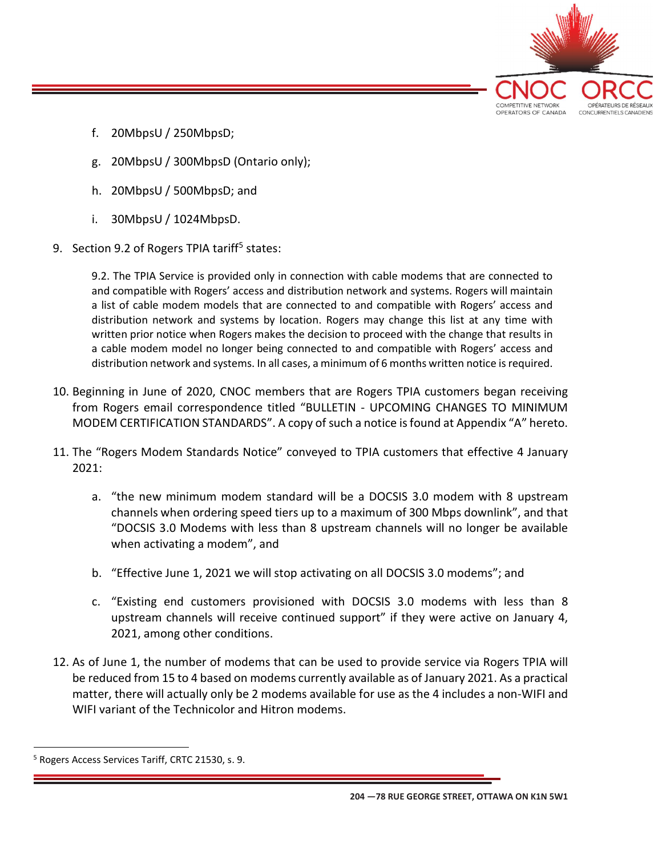

- f. 20MbpsU / 250MbpsD;
- g. 20MbpsU / 300MbpsD (Ontario only);
- h. 20MbpsU / 500MbpsD; and
- i. 30MbpsU / 1024MbpsD.
- 9. Section 9.2 of Rogers TPIA tariff<sup>5</sup> states:

9.2. The TPIA Service is provided only in connection with cable modems that are connected to and compatible with Rogers' access and distribution network and systems. Rogers will maintain a list of cable modem models that are connected to and compatible with Rogers' access and distribution network and systems by location. Rogers may change this list at any time with written prior notice when Rogers makes the decision to proceed with the change that results in a cable modem model no longer being connected to and compatible with Rogers' access and distribution network and systems. In all cases, a minimum of 6 months written notice is required.

- 10. Beginning in June of 2020, CNOC members that are Rogers TPIA customers began receiving from Rogers email correspondence titled "BULLETIN - UPCOMING CHANGES TO MINIMUM MODEM CERTIFICATION STANDARDS". A copy of such a notice is found at Appendix "A" hereto.
- 11. The "Rogers Modem Standards Notice" conveyed to TPIA customers that effective 4 January 2021:
	- a. "the new minimum modem standard will be a DOCSIS 3.0 modem with 8 upstream channels when ordering speed tiers up to a maximum of 300 Mbps downlink", and that "DOCSIS 3.0 Modems with less than 8 upstream channels will no longer be available when activating a modem", and
	- b. "Effective June 1, 2021 we will stop activating on all DOCSIS 3.0 modems"; and
	- c. "Existing end customers provisioned with DOCSIS 3.0 modems with less than 8 upstream channels will receive continued support" if they were active on January 4, 2021, among other conditions.
- 12. As of June 1, the number of modems that can be used to provide service via Rogers TPIA will be reduced from 15 to 4 based on modems currently available as of January 2021. As a practical matter, there will actually only be 2 modems available for use as the 4 includes a non-WIFI and WIFI variant of the Technicolor and Hitron modems.

204 —78 RUE GEORGE STREET, OTTAWA ON K1N 5W1

<sup>&</sup>lt;sup>5</sup> Rogers Access Services Tariff, CRTC 21530, s. 9.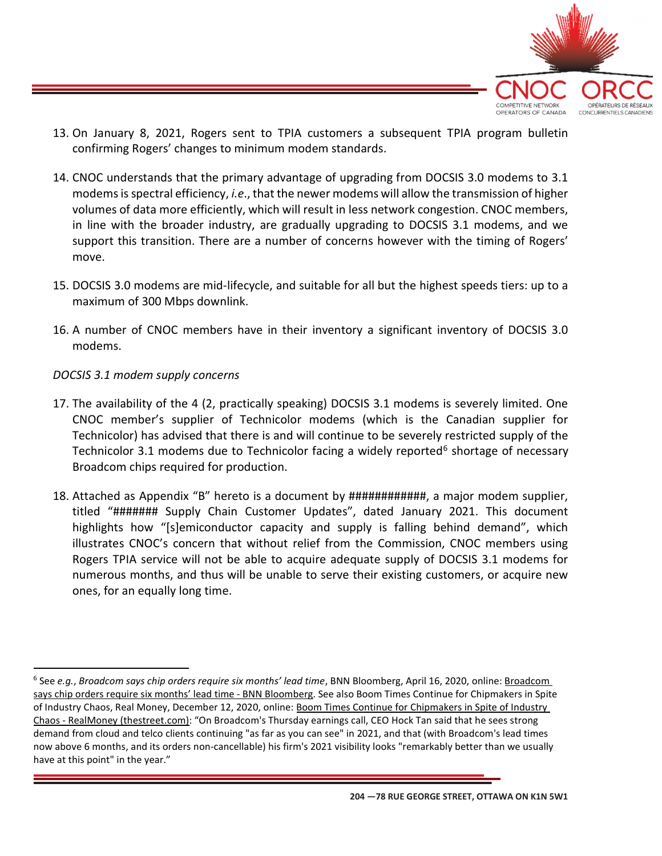

- 13. On January 8, 2021, Rogers sent to TPIA customers a subsequent TPIA program bulletin confirming Rogers' changes to minimum modem standards.
- 14. CNOC understands that the primary advantage of upgrading from DOCSIS 3.0 modems to 3.1 modems is spectral efficiency, *i.e.*, that the newer modems will allow the transmission of higher volumes of data more efficiently, which will result in less network congestion. CNOC members, in line with the broader industry, are gradually upgrading to DOCSIS 3.1 modems, and we support this transition. There are a number of concerns however with the timing of Rogers' move.
- 15. DOCSIS 3.0 modems are mid-lifecycle, and suitable for all but the highest speeds tiers: up to a maximum of 300 Mbps downlink.
- 16. A number of CNOC members have in their inventory a significant inventory of DOCSIS 3.0 modems.

# DOCSIS 3.1 modem supply concerns

- 17. The availability of the 4 (2, practically speaking) DOCSIS 3.1 modems is severely limited. One CNOC member's supplier of Technicolor modems (which is the Canadian supplier for Technicolor) has advised that there is and will continue to be severely restricted supply of the Technicolor 3.1 modems due to Technicolor facing a widely reported<sup>6</sup> shortage of necessary Broadcom chips required for production.
- 18. Attached as Appendix "B" hereto is a document by ############, a major modem supplier, titled "####### Supply Chain Customer Updates", dated January 2021. This document highlights how "[s]emiconductor capacity and supply is falling behind demand", which illustrates CNOC's concern that without relief from the Commission, CNOC members using Rogers TPIA service will not be able to acquire adequate supply of DOCSIS 3.1 modems for numerous months, and thus will be unable to serve their existing customers, or acquire new ones, for an equally long time.

<sup>&</sup>lt;sup>6</sup> See e.g., Broadcom says chip orders require six months' lead time, BNN Bloomberg, April 16, 2020, online: Broadcom says chip orders require six months' lead time - BNN Bloomberg. See also Boom Times Continue for Chipmakers in Spite of Industry Chaos, Real Money, December 12, 2020, online: Boom Times Continue for Chipmakers in Spite of Industry Chaos - RealMoney (thestreet.com): "On Broadcom's Thursday earnings call, CEO Hock Tan said that he sees strong demand from cloud and telco clients continuing "as far as you can see" in 2021, and that (with Broadcom's lead times now above 6 months, and its orders non-cancellable) his firm's 2021 visibility looks "remarkably better than we usually have at this point" in the year."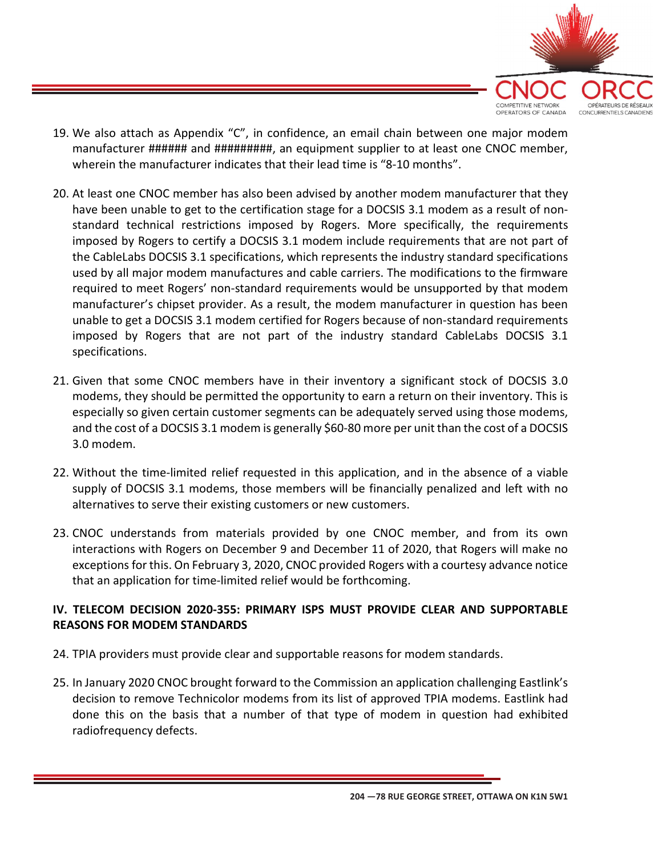

- 19. We also attach as Appendix "C", in confidence, an email chain between one major modem manufacturer ###### and #########, an equipment supplier to at least one CNOC member, wherein the manufacturer indicates that their lead time is "8-10 months".
- 20. At least one CNOC member has also been advised by another modem manufacturer that they have been unable to get to the certification stage for a DOCSIS 3.1 modem as a result of nonstandard technical restrictions imposed by Rogers. More specifically, the requirements imposed by Rogers to certify a DOCSIS 3.1 modem include requirements that are not part of the CableLabs DOCSIS 3.1 specifications, which represents the industry standard specifications used by all major modem manufactures and cable carriers. The modifications to the firmware required to meet Rogers' non-standard requirements would be unsupported by that modem manufacturer's chipset provider. As a result, the modem manufacturer in question has been unable to get a DOCSIS 3.1 modem certified for Rogers because of non-standard requirements imposed by Rogers that are not part of the industry standard CableLabs DOCSIS 3.1 specifications.
- 21. Given that some CNOC members have in their inventory a significant stock of DOCSIS 3.0 modems, they should be permitted the opportunity to earn a return on their inventory. This is especially so given certain customer segments can be adequately served using those modems, and the cost of a DOCSIS 3.1 modem is generally \$60-80 more per unit than the cost of a DOCSIS 3.0 modem.
- 22. Without the time-limited relief requested in this application, and in the absence of a viable supply of DOCSIS 3.1 modems, those members will be financially penalized and left with no alternatives to serve their existing customers or new customers.
- 23. CNOC understands from materials provided by one CNOC member, and from its own interactions with Rogers on December 9 and December 11 of 2020, that Rogers will make no exceptions for this. On February 3, 2020, CNOC provided Rogers with a courtesy advance notice that an application for time-limited relief would be forthcoming.

# IV. TELECOM DECISION 2020-355: PRIMARY ISPS MUST PROVIDE CLEAR AND SUPPORTABLE REASONS FOR MODEM STANDARDS

- 24. TPIA providers must provide clear and supportable reasons for modem standards.
- 25. In January 2020 CNOC brought forward to the Commission an application challenging Eastlink's decision to remove Technicolor modems from its list of approved TPIA modems. Eastlink had done this on the basis that a number of that type of modem in question had exhibited radiofrequency defects.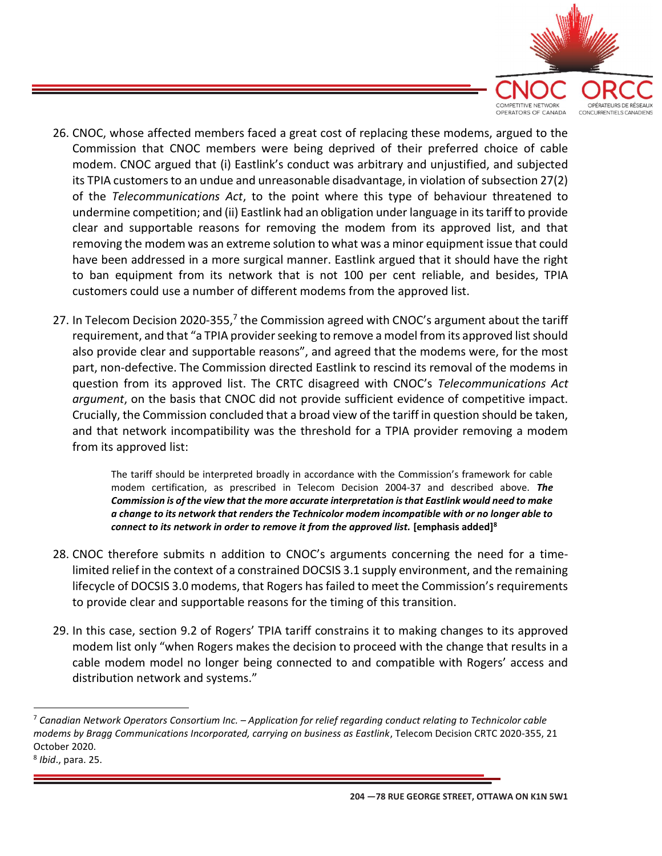

- 26. CNOC, whose affected members faced a great cost of replacing these modems, argued to the Commission that CNOC members were being deprived of their preferred choice of cable modem. CNOC argued that (i) Eastlink's conduct was arbitrary and unjustified, and subjected its TPIA customers to an undue and unreasonable disadvantage, in violation of subsection 27(2) of the Telecommunications Act, to the point where this type of behaviour threatened to undermine competition; and (ii) Eastlink had an obligation under language in its tariff to provide clear and supportable reasons for removing the modem from its approved list, and that removing the modem was an extreme solution to what was a minor equipment issue that could have been addressed in a more surgical manner. Eastlink argued that it should have the right to ban equipment from its network that is not 100 per cent reliable, and besides, TPIA customers could use a number of different modems from the approved list.
- 27. In Telecom Decision 2020-355,<sup>7</sup> the Commission agreed with CNOC's argument about the tariff requirement, and that "a TPIA provider seeking to remove a model from its approved list should also provide clear and supportable reasons", and agreed that the modems were, for the most part, non-defective. The Commission directed Eastlink to rescind its removal of the modems in question from its approved list. The CRTC disagreed with CNOC's Telecommunications Act argument, on the basis that CNOC did not provide sufficient evidence of competitive impact. Crucially, the Commission concluded that a broad view of the tariff in question should be taken, and that network incompatibility was the threshold for a TPIA provider removing a modem from its approved list:

The tariff should be interpreted broadly in accordance with the Commission's framework for cable modem certification, as prescribed in Telecom Decision 2004-37 and described above. The Commission is of the view that the more accurate interpretation is that Eastlink would need to make a change to its network that renders the Technicolor modem incompatible with or no longer able to connect to its network in order to remove it from the approved list. [emphasis added]<sup>8</sup>

- 28. CNOC therefore submits n addition to CNOC's arguments concerning the need for a timelimited relief in the context of a constrained DOCSIS 3.1 supply environment, and the remaining lifecycle of DOCSIS 3.0 modems, that Rogers has failed to meet the Commission's requirements to provide clear and supportable reasons for the timing of this transition.
- 29. In this case, section 9.2 of Rogers' TPIA tariff constrains it to making changes to its approved modem list only "when Rogers makes the decision to proceed with the change that results in a cable modem model no longer being connected to and compatible with Rogers' access and distribution network and systems."

 $7$  Canadian Network Operators Consortium Inc. – Application for relief regarding conduct relating to Technicolor cable modems by Bragg Communications Incorporated, carrying on business as Eastlink, Telecom Decision CRTC 2020-355, 21 October 2020.

<sup>&</sup>lt;sup>8</sup> Ibid., para. 25.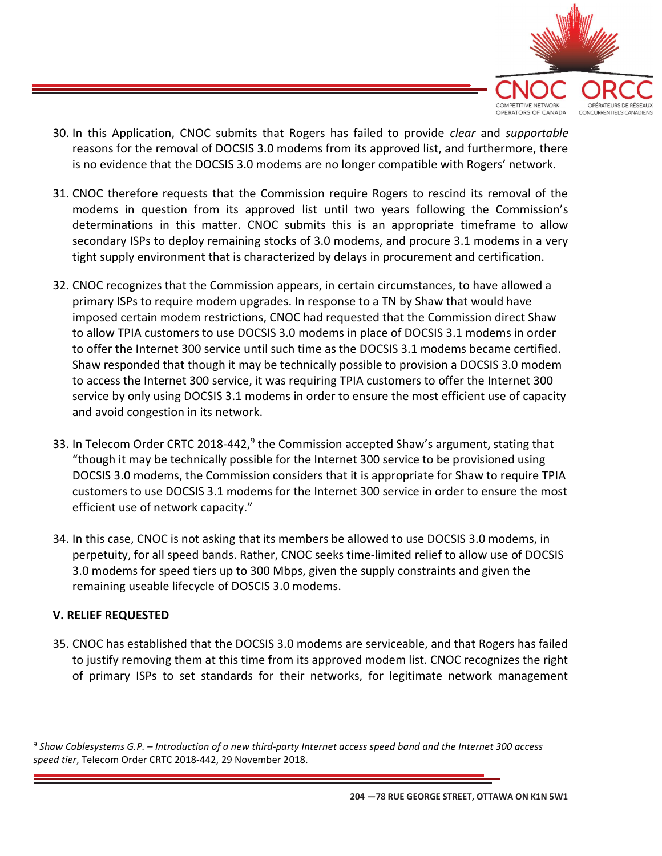

- 30. In this Application, CNOC submits that Rogers has failed to provide *clear* and *supportable* reasons for the removal of DOCSIS 3.0 modems from its approved list, and furthermore, there is no evidence that the DOCSIS 3.0 modems are no longer compatible with Rogers' network.
- 31. CNOC therefore requests that the Commission require Rogers to rescind its removal of the modems in question from its approved list until two years following the Commission's determinations in this matter. CNOC submits this is an appropriate timeframe to allow secondary ISPs to deploy remaining stocks of 3.0 modems, and procure 3.1 modems in a very tight supply environment that is characterized by delays in procurement and certification.
- 32. CNOC recognizes that the Commission appears, in certain circumstances, to have allowed a primary ISPs to require modem upgrades. In response to a TN by Shaw that would have imposed certain modem restrictions, CNOC had requested that the Commission direct Shaw to allow TPIA customers to use DOCSIS 3.0 modems in place of DOCSIS 3.1 modems in order to offer the Internet 300 service until such time as the DOCSIS 3.1 modems became certified. Shaw responded that though it may be technically possible to provision a DOCSIS 3.0 modem to access the Internet 300 service, it was requiring TPIA customers to offer the Internet 300 service by only using DOCSIS 3.1 modems in order to ensure the most efficient use of capacity and avoid congestion in its network.
- 33. In Telecom Order CRTC 2018-442, $9$  the Commission accepted Shaw's argument, stating that "though it may be technically possible for the Internet 300 service to be provisioned using DOCSIS 3.0 modems, the Commission considers that it is appropriate for Shaw to require TPIA customers to use DOCSIS 3.1 modems for the Internet 300 service in order to ensure the most efficient use of network capacity."
- 34. In this case, CNOC is not asking that its members be allowed to use DOCSIS 3.0 modems, in perpetuity, for all speed bands. Rather, CNOC seeks time-limited relief to allow use of DOCSIS 3.0 modems for speed tiers up to 300 Mbps, given the supply constraints and given the remaining useable lifecycle of DOSCIS 3.0 modems.

## V. RELIEF REQUESTED

35. CNOC has established that the DOCSIS 3.0 modems are serviceable, and that Rogers has failed to justify removing them at this time from its approved modem list. CNOC recognizes the right of primary ISPs to set standards for their networks, for legitimate network management

204 —78 RUE GEORGE STREET, OTTAWA ON K1N 5W1

 $9$  Shaw Cablesystems G.P. – Introduction of a new third-party Internet access speed band and the Internet 300 access speed tier, Telecom Order CRTC 2018-442, 29 November 2018.